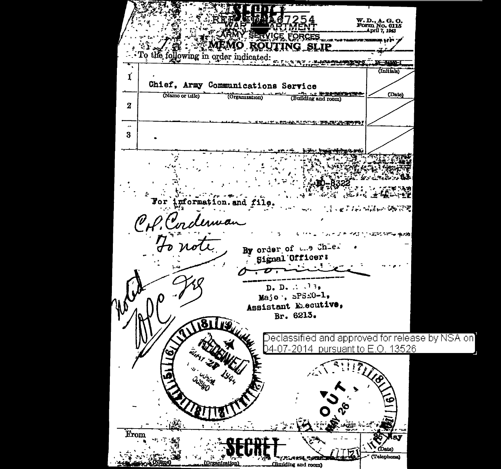**SERVICE FORCES** MEMO ROUTING SLIP the following in order indicated: `O **C-310AL** (Initials) Ľ Chief, Army Communications Service (Name or Litle) (Organization) (Building and room) (Date)  $\overline{2}$ አይነቃል ማድረግ ምልፍርድ ምሳም à. 3 and file 医复合 网络一辆管理  $\mathscr{C}$ 人名英贝尔阿姆 情况性 By order of and Chles Signal Officer: **Contract Contract**  $D. D. \ldots 13.$  $\text{Majo}$ ,  $5PSE0-1$ , Assistant Executive, Br. 6213. 8 Declassified and approved for release by NSA on 04-07-2014 pursuant to E.O. 13526 Erom Talephone" だいいがん 心のな (Building and room)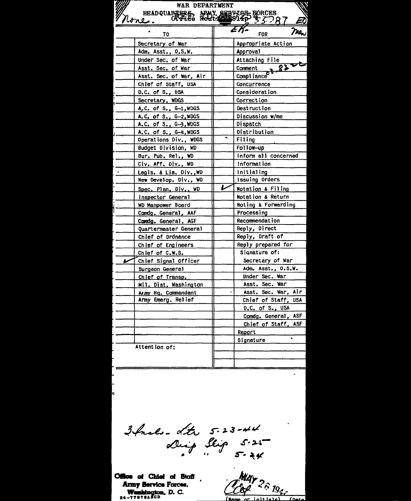| WAR DEPARTMENT                    |                                     |
|-----------------------------------|-------------------------------------|
| HEADQUAREERS, APMY SERVICE FORCES |                                     |
| <u> Urre.</u>                     |                                     |
| T <sub>0</sub>                    | Tre.<br><b>FOR</b>                  |
| Secretary of War                  | Appropriate Action                  |
| Adm. Asst., O.S.W.                | Approval                            |
| Under Sec. of War                 | Attaching File                      |
| Asst. Sec. of War                 | 8500<br>$\overline{\text{Comment}}$ |
| Asst. Sec. of War, Air            | Compliance                          |
| Chief of Staff, USA               | Concurrence                         |
| D.C. of S., USA                   | Consideration                       |
| Secretary, WDGS                   | Correction                          |
| A.C. of S., G-1, WDGS             | <b>Destruction</b>                  |
| A.C. of S., G-2, WDGS             | Discussion w/me                     |
| A.C. of S., G-3, WDGS             | Dispatch                            |
| A.C. of S., G-4, WDGS             | Distribution                        |
| Operations Div., WDGS             | Filing                              |
| <b>Budget Division, WD</b>        | Follow-up                           |
| Bur. Pub. Rel., WD                | Inform all concerned                |
| Civ. Aff. Div., WD                | Information                         |
| Legis. & Lia. Div., WD<br>$\cdot$ | <b>Initialing</b>                   |
| New Develop. Div., WD             | Issuing Orders                      |
| Spec. Plan. Div., WD              | L<br>Notation & Filing              |
| Inspector General                 | Notation & Return                   |
| WD Manpower Board                 | Noting & Forwarding                 |
| Comdg. General, AAF               | Processing                          |
| Comdg. General, AGF               | Recommendation                      |
| Quartermaster General             | Reply, Direct                       |
| Chief of Ordnance                 | Reply, Draft of                     |
| Chief of Engineers                | Reply prepared for                  |
| Chief of C.W.S.                   | Signature of:                       |
| Chief Signal Officer              | Secretary of War                    |
| Surgeon General                   | Adm. Asst., 0.S.W.                  |
| Chief of Transp.                  | Under Sec. War                      |
| Mil. Dist. Washington             | Asst. Sec. War                      |
| Army Hq. Commandant               | Asst. Sec. War, Air                 |
| Army Emerg. Relief                | Chief of Staff, USA                 |
|                                   | D.C. of S., USA                     |
|                                   | Comdg. General, ASF                 |
|                                   | Chief of Staff, ASF                 |
|                                   | Report                              |
|                                   | ٠<br>Signature                      |
| Attention of:                     |                                     |
|                                   |                                     |
|                                   |                                     |

3 facts - Ltr 5-23-44<br>Diep Slip 5-25

 $\ddot{\phantom{0}}$ 

Office of Chief of Staff Army Service Forces. Weshington, D. C.

May 26 1944

 $int$ (Nan  $1 + 7 - 3$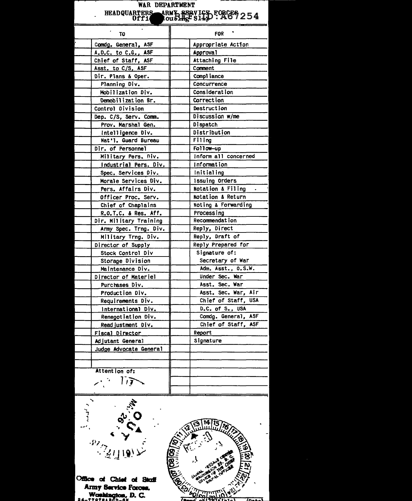| WAR DEPARTMENT<br>HEADQUARTERS ARMY SERVICE FORCES 254 |                                     |
|--------------------------------------------------------|-------------------------------------|
| TO                                                     | <b>FOR</b>                          |
| Comdg. General, ASF                                    | Appropriate Action                  |
| A.D.C. to C.G., ASF                                    | Approval                            |
| Chief of Staff, ASF                                    | Attaching File                      |
| Asst. to C/S, ASF                                      | Comment                             |
| Dir. Plans & Oper.                                     | Compliance                          |
| Planning Div.                                          | Concurrence                         |
| Mobilization Div.                                      | Consideration                       |
| Demobilization Br.                                     | <b>Correction</b>                   |
| Control Division                                       | Destruction                         |
| Dep. C/S, Serv. Comm.                                  | Discussion w/me                     |
| Prov. Marshal Gen.                                     | Dispatch                            |
| Intelligence Div.                                      | Distribution                        |
| Nat'l. Guard Bureau                                    | F111ng                              |
| Dir. of Personnel                                      | Follow-up                           |
| Military Pers. Div.                                    | Inform all concerned                |
| Industrial Pers. Div.                                  | Information                         |
| Spec. Services Div.                                    | Initialing                          |
| Morale Services Div.<br>Pers. Affairs Div.             | Issuing Orders<br>Notation & Filing |
|                                                        | Notation & Return                   |
| Officer Proc. Serv.                                    | Noting & Forwarding                 |
| Chief of Chaplains<br>R.O.T.C. & Res. Aff.             | Processing                          |
| Dir. Military Training                                 | Recommendat ion                     |
| Army Spec. Trng. Div.                                  | Reply, Direct                       |
| Military Trng. Div.                                    | Reply, Draft of                     |
| Director of Supply                                     | Reply Prepared for                  |
| Stock Control Div                                      | Signature of:                       |
| Storage Division                                       | Secretary of War                    |
| Maintenance Div.                                       | Adm. Asst., 0.S.W.                  |
| Director of Materiel                                   | Under Sec. War                      |
| Purchases Div.                                         | Asst. Sec. War                      |
| Production Div.                                        | Asst. Sec. War, Air                 |
| Requirements Div.                                      | Chief of Staff, USA                 |
| International Div.                                     | D.C. of S., USA                     |
| Renegotiation Div.                                     | ASF<br>Comdg. General,              |
| Readjustment Div.                                      | Chief of Staff,<br>ASF              |
| Fiscal Director                                        | Report                              |
| Adjutant General                                       | Signature                           |
| Judge Advocate General                                 |                                     |
|                                                        |                                     |
|                                                        |                                     |
| Attention of:                                          |                                     |
| 17                                                     |                                     |
|                                                        |                                     |

Office of Chief of Staff<br>Army Service Forces.<br>Workington, D. C.<br>24-779784860-6K

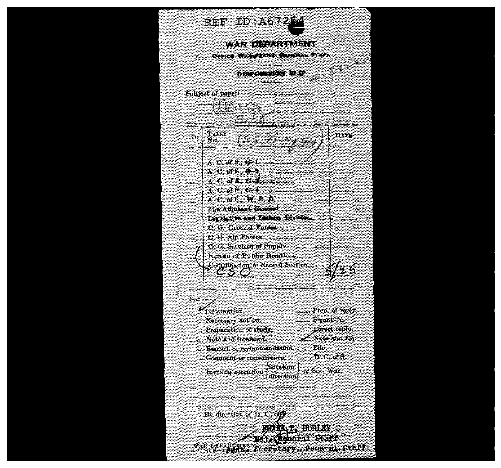REE ID:A67254 **WAR DEPARTMENT** OFFICE, SECRETARY, GENERAL STAFF **68-888-69 DISPOSITION SIAP**  $T_{\mathbf{A}}$ LLT 899.45 S To No.  $A, C, \omega, B, C, 1, \ldots$ A. C. of B., G-2. <u> Elizabeth Carl</u> A. C. of S., G. L. 4, 2000, 2000, 2000  $\sim$  $A, C, of S., W, P, D, \ldots$ <u> Elizabeth Component</u> Legislative and Liabour Division...... C. G. Services of Supply. 2000. Bureau of Public Relations ............. Coordination & Record Section.......  $\circ \circ \circ \dots$  $F_0r$ -Gatormation. Prep. of reply. .......... Signature. Necessary action. ... Direct reply. Preparation of study.  $\mathcal{L}$  Note and file. Note and foreword. Remark or recommendation, ...... File.  $\Box$  D. C. of S. ... Comment or concurrence. motation of Sec. War. ... Inviting attention direction By direction of  $D, C, o(p)$ : **DELIVER HUNDE Geboral Statt** WAR DEPARTMENT Secretary. Genaral Staff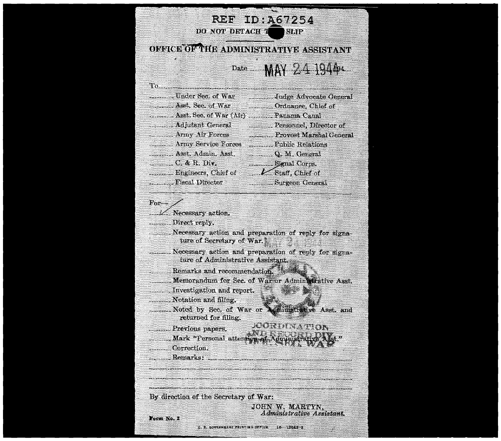| REF ID:A67254<br>DO NOT DETACH T<br>Star                                          |                                                      |  |
|-----------------------------------------------------------------------------------|------------------------------------------------------|--|
| ONCICE OF THE ADMINISTRATIVE ASSISTANT                                            |                                                      |  |
|                                                                                   | $_{\rm 1.34\,ke}$ MAY $2.4$ 1944.                    |  |
| $T_{0}$                                                                           |                                                      |  |
|                                                                                   |                                                      |  |
| Asst. Sec. of War                                                                 | Ordnance, Chief of                                   |  |
| Asst. Sec. of War (Air)  Panama Canal                                             |                                                      |  |
|                                                                                   | <b>Personnel</b> , Director of                       |  |
| Army Air Forces                                                                   | <b>Frovost Marshal General</b>                       |  |
| <b>Example 21 Army Service Forces</b>                                             | Public Relations                                     |  |
| . Asst. Admin. Asst.                                                              | Q. M. General                                        |  |
| $C, \& R, \mathbf{Div}.$                                                          |                                                      |  |
| Engineers, Chief of                                                               | <b>V</b> Staff, Chief of                             |  |
| <b>Fiscal Director</b>                                                            | <b>Surgeon General</b>                               |  |
|                                                                                   |                                                      |  |
| $For-$                                                                            |                                                      |  |
| $\nu'$ . Necessary action.                                                        |                                                      |  |
| Direct reply.                                                                     |                                                      |  |
| Necessary action and preparation of reply for signa-<br>ture of Secretary of War. |                                                      |  |
| ture of Administrative Assistant.                                                 | Necessary action and preparation of reply for signa- |  |
| Remarks and recommendation.                                                       |                                                      |  |
| Memorandum for Sec. of War or Administrative Asst.                                |                                                      |  |
| Investigation and report.                                                         |                                                      |  |
| Notation and filing.                                                              |                                                      |  |
| Noted by Sec. of War or Administrative Asst. and<br>returned for filing,          |                                                      |  |
| Previous papers.                                                                  | <b>JOURDEN ATION</b>                                 |  |
| Mark "Personal attention of                                                       | a.<br><b>Son-of-Administ</b>                         |  |
| Correction.                                                                       |                                                      |  |
| <b>Remarks:</b>                                                                   |                                                      |  |
|                                                                                   |                                                      |  |
|                                                                                   |                                                      |  |
|                                                                                   |                                                      |  |
| By direction of the Secretary of War:                                             |                                                      |  |
|                                                                                   | JOHN W. MARTYN,<br>Administrative Assistant.         |  |
| Form No. 2                                                                        |                                                      |  |
| U. S. GOVERNMENT PRINTING OFFICE                                                  | 16 12043-3                                           |  |